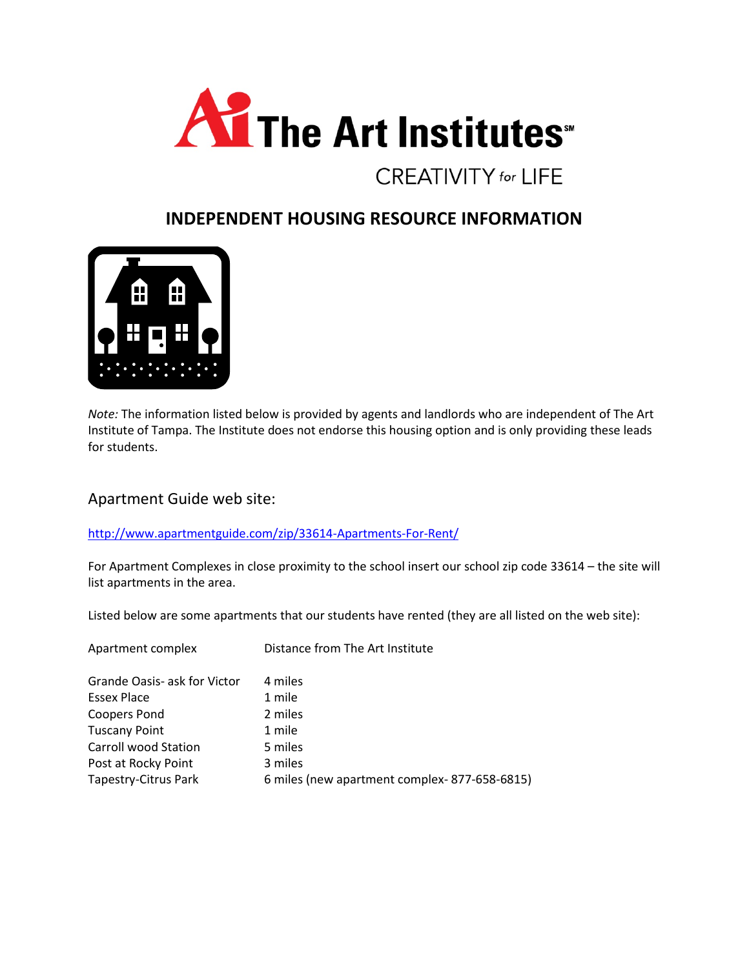

## **INDEPENDENT HOUSING RESOURCE INFORMATION**



*Note:* The information listed below is provided by agents and landlords who are independent of The Art Institute of Tampa. The Institute does not endorse this housing option and is only providing these leads for students.

Apartment Guide web site:

<http://www.apartmentguide.com/zip/33614-Apartments-For-Rent/>

For Apartment Complexes in close proximity to the school insert our school zip code 33614 – the site will list apartments in the area.

Listed below are some apartments that our students have rented (they are all listed on the web site):

| Apartment complex            | Distance from The Art Institute              |
|------------------------------|----------------------------------------------|
| Grande Oasis- ask for Victor | 4 miles                                      |
| Essex Place                  | 1 mile                                       |
| <b>Coopers Pond</b>          | 2 miles                                      |
| <b>Tuscany Point</b>         | 1 mile                                       |
| Carroll wood Station         | 5 miles                                      |
| Post at Rocky Point          | 3 miles                                      |
| Tapestry-Citrus Park         | 6 miles (new apartment complex-877-658-6815) |